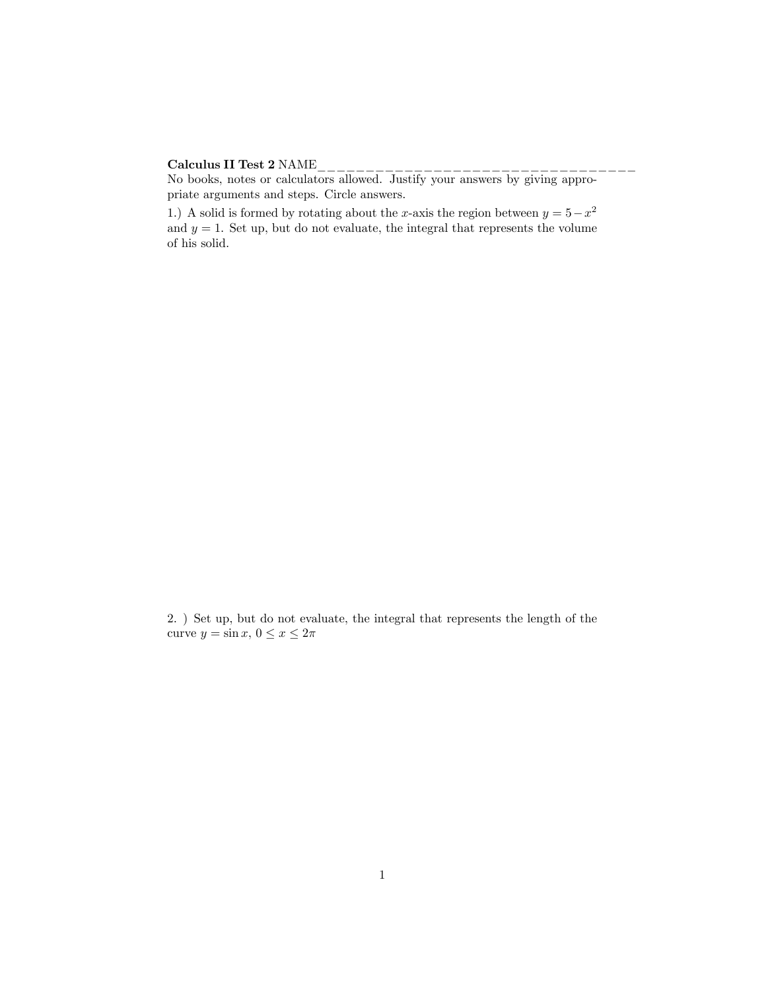## Calculus II Test 2 NAME\_\_\_\_\_\_\_\_\_\_\_\_\_\_\_\_\_\_\_\_\_\_\_\_\_\_\_\_\_\_\_\_\_

No books, notes or calculators allowed. Justify your answers by giving appropriate arguments and steps. Circle answers.

1.) A solid is formed by rotating about the x-axis the region between  $y = 5 - x^2$ and  $y = 1$ . Set up, but do not evaluate, the integral that represents the volume of his solid.

2. ) Set up, but do not evaluate, the integral that represents the length of the curve  $y = \sin x, 0 \le x \le 2\pi$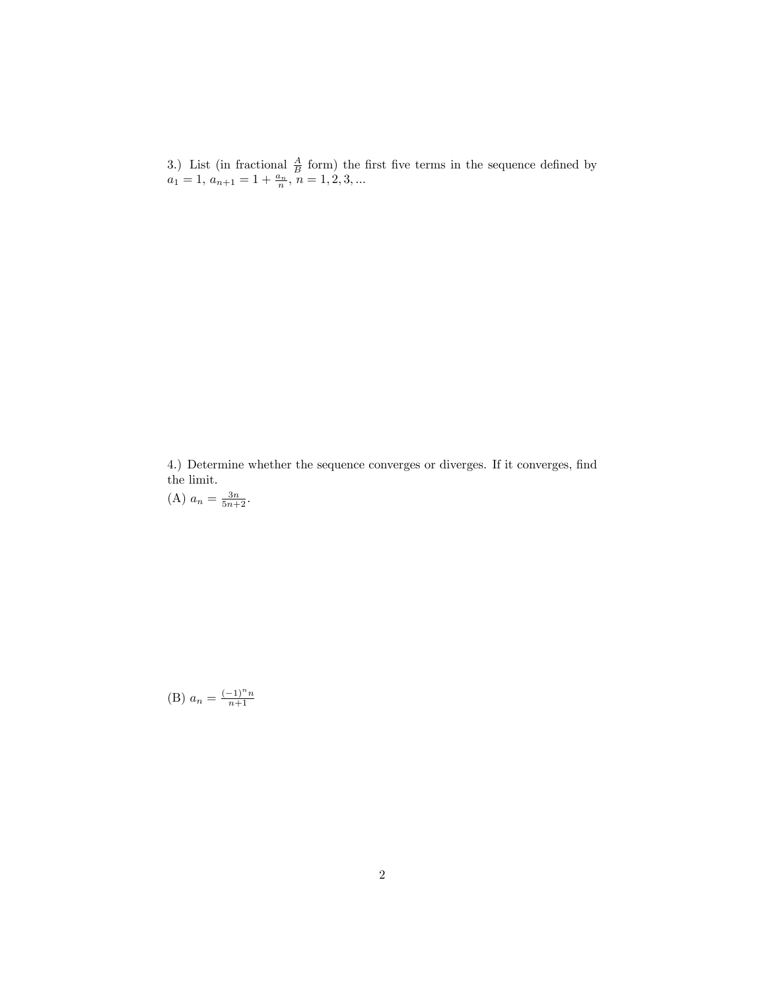3.) List (in fractional  $\frac{A}{B}$  form) the first five terms in the sequence defined by  $a_1 = 1, a_{n+1} = 1 + \frac{a_n}{n}, n = 1, 2, 3, ...$ 

4.) Determine whether the sequence converges or diverges. If it converges, find the limit.<br>(A)  $a_n = \frac{3n}{5n+2}$ .

(B)  $a_n = \frac{(-1)^n n}{n+1}$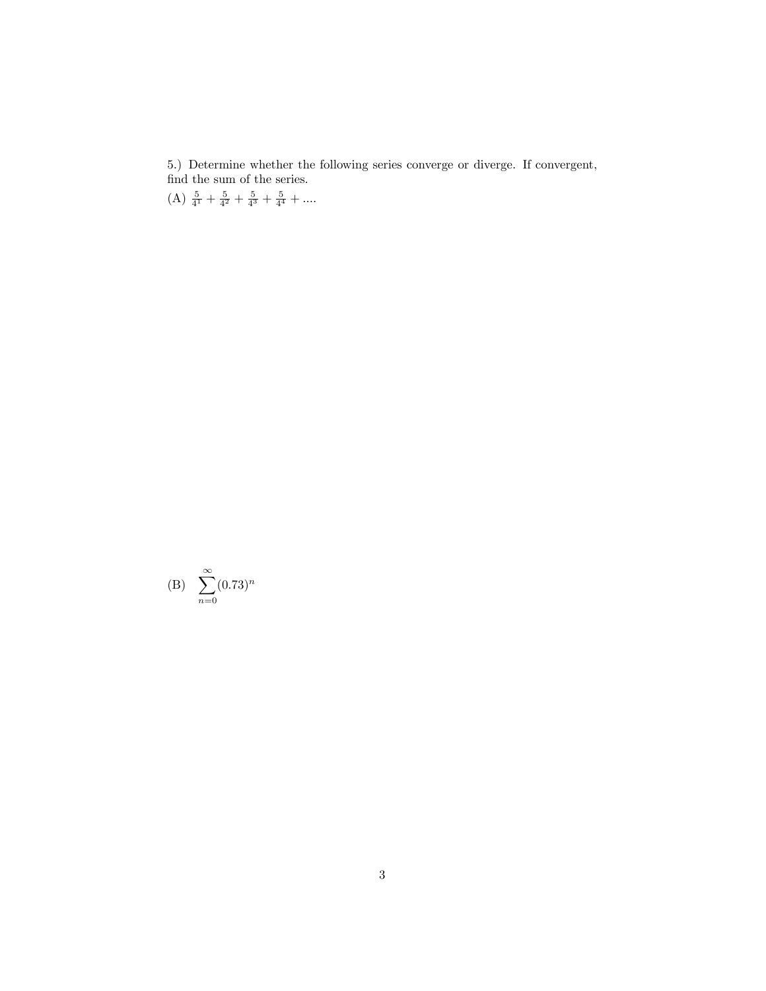5.) Determine whether the following series converge or diverge. If convergent,

find the sum of the series.<br>(A)  $\frac{5}{4^1} + \frac{5}{4^2} + \frac{5}{4^3} + \frac{5}{4^4} + \dots$ 

(B) 
$$
\sum_{n=0}^{\infty} (0.73)^n
$$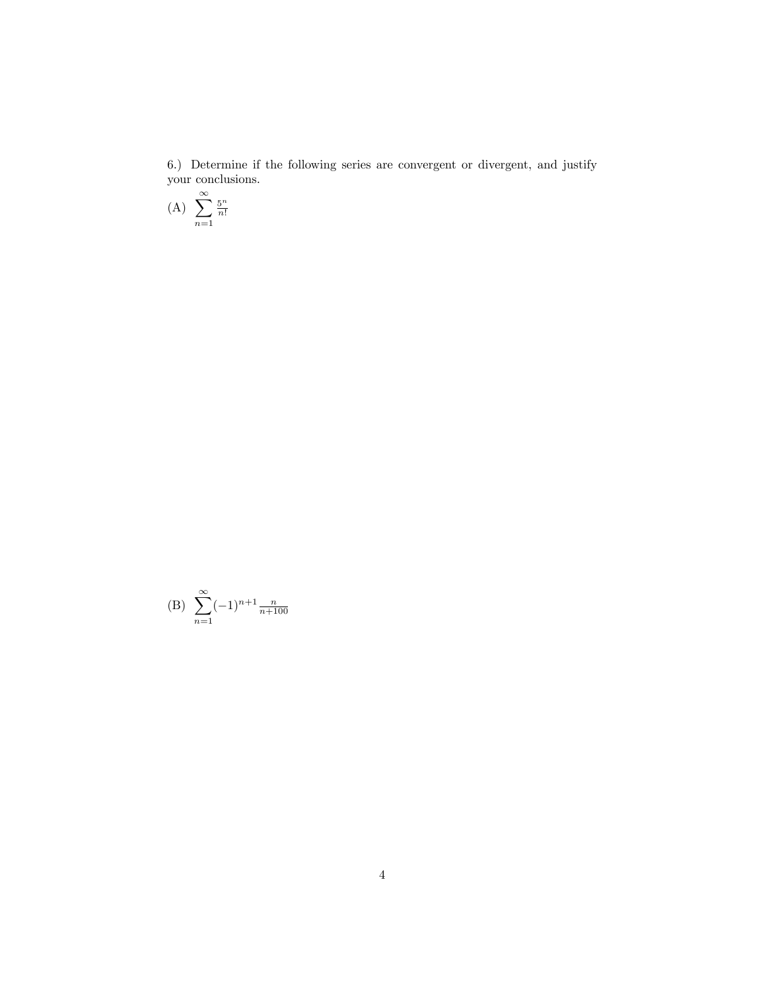6.) Determine if the following series are convergent or divergent, and justify your conclusions.

$$
(A) \sum_{n=1}^{\infty} \frac{5^n}{n!}
$$

(B) 
$$
\sum_{n=1}^{\infty} (-1)^{n+1} \frac{n}{n+100}
$$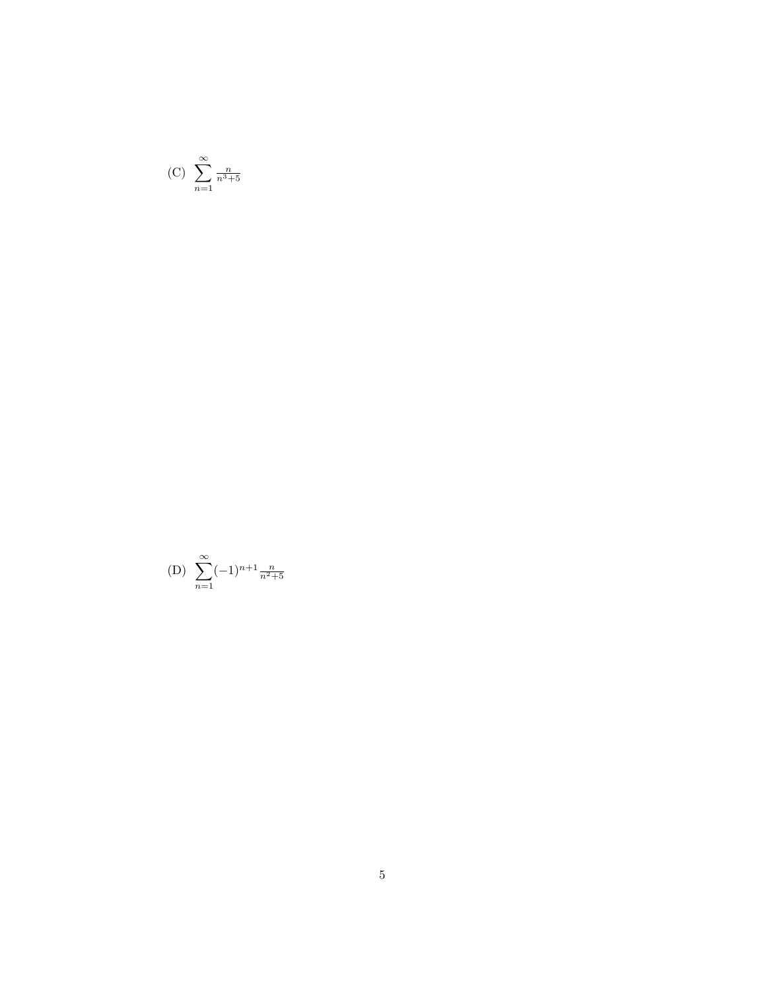$$
(C) \sum_{n=1}^{\infty} \frac{n}{n^3 + 5}
$$

(D) 
$$
\sum_{n=1}^{\infty} (-1)^{n+1} \frac{n}{n^2+5}
$$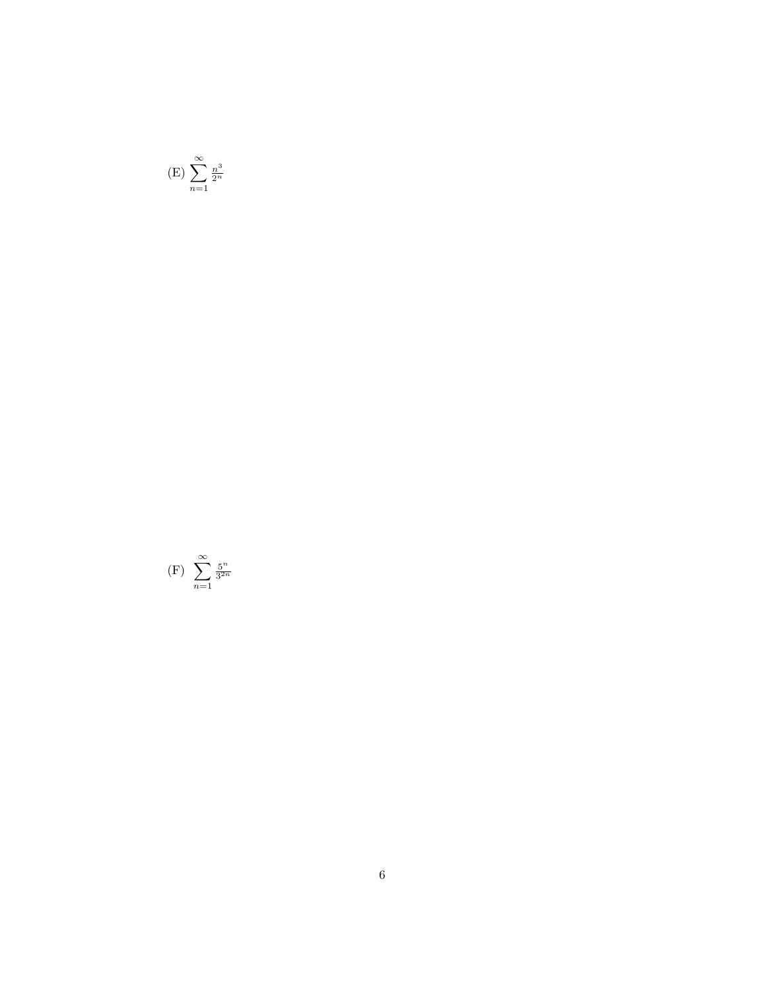$$
(E) \sum_{n=1}^{\infty} \frac{n^3}{2^n}
$$

$$
(F) \sum_{n=1}^{\infty} \frac{5^n}{3^{2n}}
$$